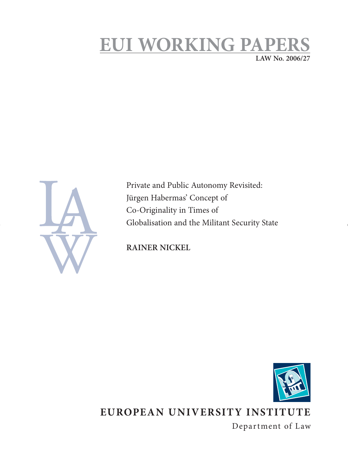# **EUI WORKING PAPERS LAW No. 2006/27**



Private and Public Autonomy Revisited: Jürgen Habermas' Concept of Co-Originality in Times of Globalisation and the Militant Security State

**RAINER NICKEL**



# **EUROPEAN UNIVERSITY INSTITUTE**

Department of Law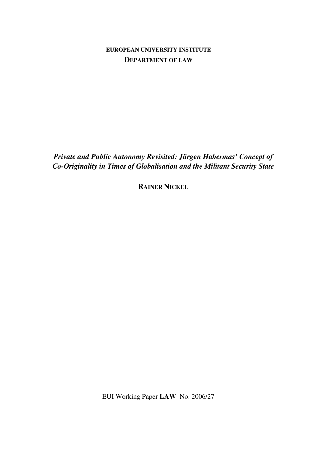**EUROPEAN UNIVERSITY INSTITUTE DEPARTMENT OF LAW**

*Private and Public Autonomy Revisited: Jürgen Habermas' Concept of Co-Originality in Times of Globalisation and the Militant Security State* 

**RAINER NICKEL**

EUI Working Paper **LAW** No. 2006/27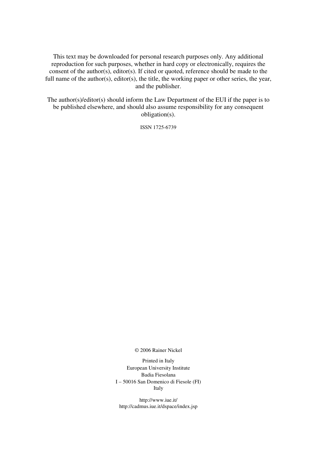This text may be downloaded for personal research purposes only. Any additional reproduction for such purposes, whether in hard copy or electronically, requires the consent of the author(s), editor(s). If cited or quoted, reference should be made to the full name of the author(s), editor(s), the title, the working paper or other series, the year, and the publisher.

The author(s)/editor(s) should inform the Law Department of the EUI if the paper is to be published elsewhere, and should also assume responsibility for any consequent obligation(s).

ISSN 1725-6739

© 2006 Rainer Nickel

Printed in Italy European University Institute Badia Fiesolana I – 50016 San Domenico di Fiesole (FI) Italy

http://www.iue.it/ http://cadmus.iue.it/dspace/index.jsp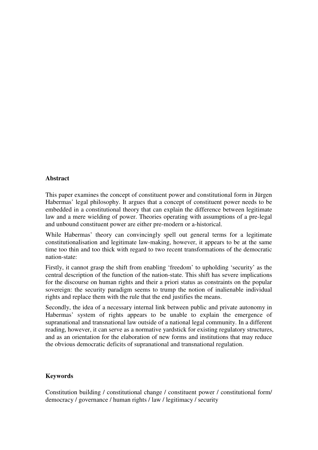## **Abstract**

This paper examines the concept of constituent power and constitutional form in Jürgen Habermas' legal philosophy. It argues that a concept of constituent power needs to be embedded in a constitutional theory that can explain the difference between legitimate law and a mere wielding of power. Theories operating with assumptions of a pre-legal and unbound constituent power are either pre-modern or a-historical.

While Habermas' theory can convincingly spell out general terms for a legitimate constitutionalisation and legitimate law-making, however, it appears to be at the same time too thin and too thick with regard to two recent transformations of the democratic nation-state:

Firstly, it cannot grasp the shift from enabling 'freedom' to upholding 'security' as the central description of the function of the nation-state. This shift has severe implications for the discourse on human rights and their a priori status as constraints on the popular sovereign: the security paradigm seems to trump the notion of inalienable individual rights and replace them with the rule that the end justifies the means.

Secondly, the idea of a necessary internal link between public and private autonomy in Habermas' system of rights appears to be unable to explain the emergence of supranational and transnational law outside of a national legal community. In a different reading, however, it can serve as a normative yardstick for existing regulatory structures, and as an orientation for the elaboration of new forms and institutions that may reduce the obvious democratic deficits of supranational and transnational regulation.

## **Keywords**

Constitution building / constitutional change / constituent power / constitutional form/ democracy / governance / human rights / law / legitimacy / security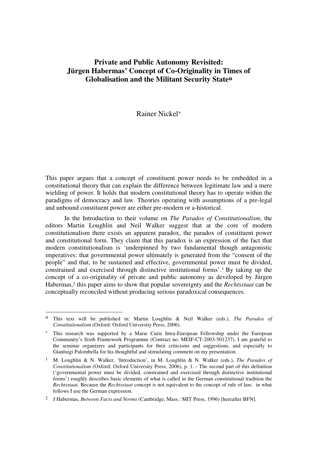## **Private and Public Autonomy Revisited: Jürgen Habermas' Concept of Co-Originality in Times of Globalisation and the Militant Security State**<sup>α</sup>

## Rainer Nickel<sup>∗</sup>

This paper argues that a concept of constituent power needs to be embedded in a constitutional theory that can explain the difference between legitimate law and a mere wielding of power. It holds that modern constitutional theory has to operate within the paradigms of democracy and law. Theories operating with assumptions of a pre-legal and unbound constituent power are either pre-modern or a-historical.

In the Introduction to their volume on *The Paradox of Constitutionalism*, the editors Martin Loughlin and Neil Walker suggest that at the core of modern constitutionalism there exists an apparent paradox, the paradox of constituent power and constitutional form. They claim that this paradox is an expression of the fact that modern constitutionalism is 'underpinned by two fundamental though antagonistic imperatives: that governmental power ultimately is generated from the "consent of the people" and that, to be sustained and effective, governmental power must be divided, constrained and exercised through distinctive institutional forms'.1 By taking up the concept of a co-originality of private and public autonomy as developed by Jürgen Habermas,2 this paper aims to show that popular sovereignty and the *Rechtsstaat* can be conceptually reconciled without producing serious paradoxical consequences.

<sup>α</sup> This text will be published in: Martin Loughlin & Neil Walker (eds.), *The Paradox of Constitutionalism* (Oxford: Oxford University Press, 2006).

This research was supported by a Marie Curie Intra-European Fellowship under the European Community's Sixth Framework Programme (Contract no. MEIF-CT-2003-501237). I am grateful to the seminar organizers and participants for their criticisms and suggestions, and especially to Gianluigi Palombella for his thoughtful and stimulating comment on my presentation.

<sup>1</sup> M. Loughlin & N. Walker, 'Introduction', in M. Loughlin & N. Walker (eds.), *The Paradox of Constitutionalism* (Oxford: Oxford University Press, 2006), p. 1. - The second part of this definition ('governmental power must be divided, constrained and exercised through distinctive institutional forms') roughly describes basic elements of what is called in the German constitutional tradition the *Rechtsstaat*. Because the *Rechtsstaat* concept is not equivalent to the concept of rule of law, in what follows I use the German expression.

<sup>2</sup> J Habermas, *Between Facts and Norms* (Cambridge, Mass.: MIT Press, 1996) [hereafter BFN].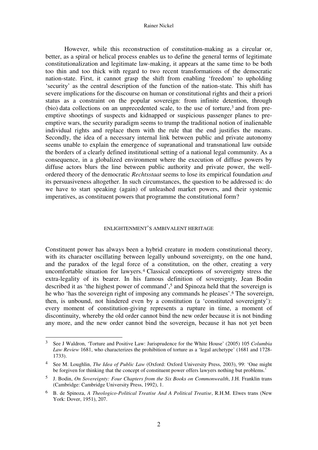#### Rainer Nickel

However, while this reconstruction of constitution-making as a circular or, better, as a spiral or helical process enables us to define the general terms of legitimate constitutionalization and legitimate law-making, it appears at the same time to be both too thin and too thick with regard to two recent transformations of the democratic nation-state. First, it cannot grasp the shift from enabling 'freedom' to upholding 'security' as the central description of the function of the nation-state. This shift has severe implications for the discourse on human or constitutional rights and their a priori status as a constraint on the popular sovereign: from infinite detention, through (bio) data collections on an unprecedented scale, to the use of torture,3 and from preemptive shootings of suspects and kidnapped or suspicious passenger planes to preemptive wars, the security paradigm seems to trump the traditional notion of inalienable individual rights and replace them with the rule that the end justifies the means. Secondly, the idea of a necessary internal link between public and private autonomy seems unable to explain the emergence of supranational and transnational law outside the borders of a clearly defined institutional setting of a national legal community. As a consequence, in a globalized environment where the execution of diffuse powers by diffuse actors blurs the line between public authority and private power, the wellordered theory of the democratic *Rechtsstaat* seems to lose its empirical foundation *and* its persuasiveness altogether. In such circumstances, the question to be addressed is: do we have to start speaking (again) of unleashed market powers, and their systemic imperatives, as constituent powers that programme the constitutional form?

#### ENLIGHTENMENT'S AMBIVALENT HERITAGE

Constituent power has always been a hybrid creature in modern constitutional theory, with its character oscillating between legally unbound sovereignty, on the one hand, and the paradox of the legal force of a constitution, on the other, creating a very uncomfortable situation for lawyers.4 Classical conceptions of sovereignty stress the extra-legality of its bearer. In his famous definition of sovereignty, Jean Bodin described it as 'the highest power of command',<sup>5</sup> and Spinoza held that the sovereign is he who 'has the sovereign right of imposing any commands he pleases'.6 The sovereign, then, is unbound, not hindered even by a constitution (a 'constituted sovereignty'): every moment of constitution-giving represents a rupture in time, a moment of discontinuity, whereby the old order cannot bind the new order because it is not binding any more, and the new order cannot bind the sovereign, because it has not yet been

<sup>3</sup> See J Waldron, 'Torture and Positive Law: Jurisprudence for the White House' (2005) 105 *Columbia Law Review* 1681, who characterizes the prohibition of torture as a 'legal archetype' (1681 and 1728- 1733).

<sup>4</sup> See M. Loughlin, *The Idea of Public Law* (Oxford: Oxford University Press, 2003), 99: 'One might be forgiven for thinking that the concept of constituent power offers lawyers nothing but problems.'

<sup>5</sup> J. Bodin, *On Sovereignty: Four Chapters from the Six Books on Commonwealth*, J.H. Franklin trans (Cambridge: Cambridge University Press, 1992), 1.

<sup>6</sup> B. de Spinoza, *A Theologico-Political Treatise And A Political Treatise*, R.H.M. Elwes trans (New York: Dover, 1951), 207.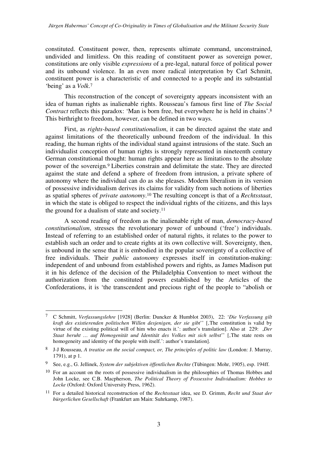constituted. Constituent power, then, represents ultimate command, unconstrained, undivided and limitless. On this reading of constituent power as sovereign power, constitutions are only visible *expressions* of a pre-legal, natural force of political power and its unbound violence. In an even more radical interpretation by Carl Schmitt, constituent power is a characteristic of and connected to a people and its substantial 'being' as a *Volk*. 7

This reconstruction of the concept of sovereignty appears inconsistent with an idea of human rights as inalienable rights. Rousseau's famous first line of *The Social Contract* reflects this paradox: 'Man is born free, but everywhere he is held in chains'.<sup>8</sup> This birthright to freedom, however, can be defined in two ways.

First, as *rights-based constitutionalism*, it can be directed against the state and against limitations of the theoretically unbound freedom of the individual. In this reading, the human rights of the individual stand against intrusions of the state. Such an individualist conception of human rights is strongly represented in nineteenth century German constitutional thought: human rights appear here as limitations to the absolute power of the sovereign.9 Liberties constrain and delimitate the state. They are directed against the state and defend a sphere of freedom from intrusion, a private sphere of autonomy where the individual can do as she pleases. Modern liberalism in its version of possessive individualism derives its claims for validity from such notions of liberties as spatial spheres of *private autonomy*. <sup>10</sup> The resulting concept is that of a *Rechtsstaat*, in which the state is obliged to respect the individual rights of the citizens, and this lays the ground for a dualism of state and society.<sup>11</sup>

A second reading of freedom as the inalienable right of man, *democracy-based constitutionalism*, stresses the revolutionary power of unbound ('free') individuals. Instead of referring to an established order of natural rights, it relates to the power to establish such an order and to create rights at its own collective will. Sovereignty, then, is unbound in the sense that it is embodied in the popular sovereignty of a collective of free individuals. Their *public autonomy* expresses itself in constitution-making: independent of and unbound from established powers and rights, as James Madison put it in his defence of the decision of the Philadelphia Convention to meet without the authorization from the constituted powers established by the Articles of the Confederations, it is 'the transcendent and precious right of the people to "abolish or

<sup>7</sup> C Schmitt, *Verfassungslehre* [1928] (Berlin: Duncker & Humblot 2003), 22: '*Die Verfassung gilt*  kraft des existierenden politischen Willen desjenigen, der sie gibt' [,The constitution is valid by virtue of the existing political will of him who enacts it.': author's translation]. Also at 229: ,*Der Staat beruht … auf Homogenität und Identität des Volkes mit sich selbst*'' ['The state rests on homogeneity and identity of the people with itself.': author's translation].

<sup>8</sup> J-J Rousseau, *A treatise on the social compact, or, The principles of politic law* (London: J. Murray, 1791), at p 1.

<sup>9</sup> See, e.g., G. Jellinek, *System der subjektiven öffentlichen Rechte* (Tübingen: Mohr, 1905), esp. 194ff.

<sup>&</sup>lt;sup>10</sup> For an account on the roots of possessive individualism in the philosophies of Thomas Hobbes and John Locke, see C.B. Macpherson, *The Political Theory of Possessive Individualism: Hobbes to Locke* (Oxford: Oxford University Press, 1962).

<sup>11</sup> For a detailed historical reconstruction of the *Rechtsstaat* idea, see D. Grimm, *Recht und Staat der bürgerlichen Gesellschaft* (Frankfurt am Main: Suhrkamp, 1987).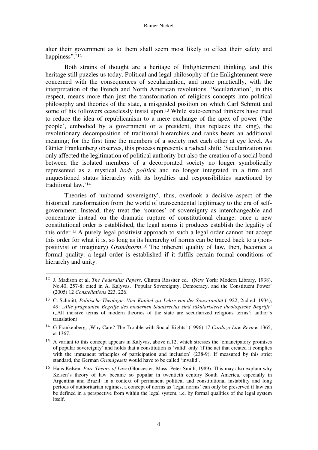alter their government as to them shall seem most likely to effect their safety and happiness".<sup>'12</sup>

Both strains of thought are a heritage of Enlightenment thinking, and this heritage still puzzles us today. Political and legal philosophy of the Enlightenment were concerned with the consequences of secularization, and more practically, with the interpretation of the French and North American revolutions. 'Secularization', in this respect, means more than just the transformation of religious concepts into political philosophy and theories of the state, a misguided position on which Carl Schmitt and some of his followers ceaselessly insist upon.13 While state-centred thinkers have tried to reduce the idea of republicanism to a mere exchange of the apex of power ('the people', embodied by a government or a president, thus replaces the king), the revolutionary decomposition of traditional hierarchies and ranks bears an additional meaning; for the first time the members of a society met each other at eye level. As Günter Frankenberg observes, this process represents a radical shift: 'Secularization not only affected the legitimation of political authority but also the creation of a social bond between the isolated members of a decorporated society no longer symbolically represented as a mystical *body politick* and no longer integrated in a firm and unquestioned status hierarchy with its loyalties and responsibilities sanctioned by traditional law.'<sup>14</sup>

Theories of 'unbound sovereignty', thus, overlook a decisive aspect of the historical transformation from the world of transcendental legitimacy to the era of selfgovernment. Instead, they treat the 'sources' of sovereignty as interchangeable and concentrate instead on the dramatic rupture of constitutional change: once a new constitutional order is established, the legal norms it produces establish the legality of this order.15 A purely legal positivist approach to such a legal order cannot but accept this order for what it is, so long as its hierarchy of norms can be traced back to a (nonpositivist or imaginary) *Grundnorm*. <sup>16</sup> The inherent quality of law, then, becomes a formal quality: a legal order is established if it fulfils certain formal conditions of hierarchy and unity.

<sup>12</sup> J. Madison et al, *The Federalist Papers*, Clinton Rossiter ed. (New York: Modern Library, 1938), No.40, 257-8; cited in A. Kalyvas, 'Popular Sovereignty, Democracy, and the Constituent Power' (2005) 12 *Constellations* 223, 226.

<sup>13</sup> C. Schmitt, *Politische Theologie. Vier Kapitel zur Lehre von der Souveränität* (1922; 2nd ed. 1934), 49: "*Alle prägnanten Begriffe des modernen Staatsrechts sind säkularisierte theologische Begriffe*' ("All incisive terms of modern theories of the state are securlarized religious terms': author's translation).

<sup>14</sup> G Frankenberg, 'Why Care? The Trouble with Social Rights' (1996) 17 *Cardozo Law Review* 1365, at 1367.

<sup>15</sup> A variant to this concept appears in Kalyvas, above n.12, which stresses the 'emancipatory promises of popular sovereignty' and holds that a constitution is 'valid' only 'if the act that created it complies with the immanent principles of participation and inclusion' (238-9). If measured by this strict standard, the German *Grundgesetz* would have to be called 'invalid'.

<sup>16</sup> Hans Kelsen, *Pure Theory of Law* (Gloucester, Mass: Peter Smith, 1989). This may also explain why Kelsen's theory of law became so popular in twentieth century South America, especially in Argentina and Brazil: in a context of permanent political and constitutional instability and long periods of authoritarian regimes, a concept of norms as 'legal norms' can only be preserved if law can be defined in a perspective from within the legal system, i.e. by formal qualities of the legal system itself.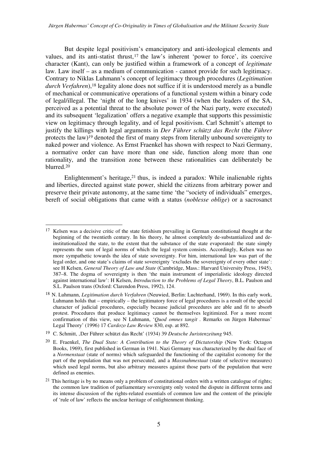But despite legal positivism's emancipatory and anti-ideological elements and values, and its anti-statist thrust,<sup>17</sup> the law's inherent 'power to force', its coercive character (Kant), can only be justified within a framework of a concept of *legitimate* law. Law itself – as a medium of communication - cannot provide for such legitimacy. Contrary to Niklas Luhmann's concept of legitimacy through procedures (*Legitimation*  durch Verfahren),<sup>18</sup> legality alone does not suffice if it is understood merely as a bundle of mechanical or communicative operations of a functional system within a binary code of legal/illegal. The 'night of the long knives' in 1934 (when the leaders of the SA, perceived as a potential threat to the absolute power of the Nazi party, were executed) and its subsequent 'legalization' offers a negative example that supports this pessimistic view on legitimacy through legality, and of legal positivism. Carl Schmitt's attempt to justify the killings with legal arguments in *Der Führer schützt das Recht* (the *Führer* protects the law)19 denoted the first of many steps from literally unbound sovereignty to naked power and violence. As Ernst Fraenkel has shown with respect to Nazi Germany, a normative order can have more than one side, function along more than one rationality, and the transition zone between these rationalities can deliberately be blurred.<sup>20</sup>

Enlightenment's heritage, $21$  thus, is indeed a paradox: While inalienable rights and liberties, directed against state power, shield the citizens from arbitrary power and preserve their private autonomy, at the same time 'the "society of individuals" emerges, bereft of social obligations that came with a status (*noblesse oblige*) or a sacrosanct

<sup>17</sup> Kelsen was a decisive critic of the state fetishism prevailing in German constitutional thought at the beginning of the twentieth century. In his theory, he almost completely de-substantialized and deinstitutionalized the state, to the extent that the substance of the state evaporated: the state simply represents the sum of legal norms of which the legal system consists. Accordingly, Kelsen was no more sympathetic towards the idea of state sovereignty. For him, international law was part of the legal order, and one state's claims of state sovereignty 'excludes the sovereignty of every other state': see H Kelsen, *General Theory of Law and State* (Cambridge, Mass.: Harvard University Press, 1945), 387–8. The dogma of sovereignty is then 'the main instrument of imperialistic ideology directed against international law': H Kelsen, *Introduction to the Problems of Legal Theory*, B.L. Paulson and S.L. Paulson trans (Oxford: Clarendon Press, 1992), 124.

<sup>18</sup> N. Luhmann, *Legitimation durch Verfahren* (Neuwied, Berlin: Luchterhand, 1969). In this early work, Luhmann holds that – empirically – the legitimatory force of legal procedures is a result of the special character of judicial procedures, especially because judicial procedures are able and fit to absorb protest. Procedures that produce legitimacy cannot be themselves legitimized. For a more recent confirmation of this view, see N Luhmann, '*Quod omnes tangit .* Remarks on Jürgen Habermas' Legal Theory' (1996) 17 *Cardozo Law Review* 830, esp. at 892.

<sup>&</sup>lt;sup>19</sup> C. Schmitt, ,Der Führer schützt das Recht' (1934) 39 *Deutsche Juristenzeitung* 945.

<sup>20</sup> E. Fraenkel, *The Dual State: A Contribution to the Theory of Dictatorship* (New York: Octagon Books, 1969), first published in German in 1941. Nazi Germany was characterized by the dual face of a *Normenstaat* (state of norms) which safeguarded the functioning of the capitalist economy for the part of the population that was not persecuted, and a *Massnahmestaat* (state of selective measures) which used legal norms, but also arbitrary measures against those parts of the population that were defined as enemies.

<sup>&</sup>lt;sup>21</sup> This heritage is by no means only a problem of constitutional orders with a written catalogue of rights; the common law tradition of parliamentary sovereignty only vested the dispute in different terms and its intense discussion of the rights-related essentials of common law and the content of the principle of 'rule of law' reflects the unclear heritage of enlightenment thinking.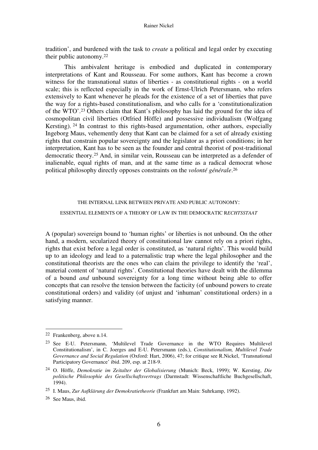tradition', and burdened with the task to *create* a political and legal order by executing their public autonomy.<sup>22</sup>

This ambivalent heritage is embodied and duplicated in contemporary interpretations of Kant and Rousseau. For some authors, Kant has become a crown witness for the transnational status of liberties - as constitutional rights - on a world scale; this is reflected especially in the work of Ernst-Ulrich Petersmann, who refers extensively to Kant whenever he pleads for the existence of a set of liberties that pave the way for a rights-based constitutionalism, and who calls for a 'constitutionalization of the WTO'.23 Others claim that Kant's philosophy has laid the ground for the idea of cosmopolitan civil liberties (Otfried Höffe) and possessive individualism (Wolfgang Kersting). 24 In contrast to this rights-based argumentation, other authors, especially Ingeborg Maus, vehemently deny that Kant can be claimed for a set of already existing rights that constrain popular sovereignty and the legislator as a priori conditions; in her interpretation, Kant has to be seen as the founder and central theorist of post-traditional democratic theory.25 And, in similar vein, Rousseau can be interpreted as a defender of inalienable, equal rights of man, and at the same time as a radical democrat whose political philosophy directly opposes constraints on the *volonté générale*. 26

## THE INTERNAL LINK BETWEEN PRIVATE AND PUBLIC AUTONOMY: ESSENTIAL ELEMENTS OF A THEORY OF LAW IN THE DEMOCRATIC R*ECHTSSTAAT*

A (popular) sovereign bound to 'human rights' or liberties is not unbound. On the other hand, a modern, secularized theory of constitutional law cannot rely on a priori rights, rights that exist before a legal order is constituted, as 'natural rights'. This would build up to an ideology and lead to a paternalistic trap where the legal philosopher and the constitutional theorists are the ones who can claim the privilege to identify the 'real', material content of 'natural rights'. Constitutional theories have dealt with the dilemma of a bound *and* unbound sovereignty for a long time without being able to offer concepts that can resolve the tension between the facticity (of unbound powers to create constitutional orders) and validity (of unjust and 'inhuman' constitutional orders) in a satisfying manner.

<sup>22</sup> Frankenberg, above n.14.

<sup>23</sup> See E-U. Petersmann, 'Multilevel Trade Governance in the WTO Requires Multilevel Constitutionalism', in C. Joerges and E-U. Petersmann (eds.), *Constitutionalism, Multilevel Trade Governance and Social Regulation* (Oxford: Hart, 2006), 47; for critique see R.Nickel, 'Transnational Participatory Governance' ibid. 209, esp. at 218-9.

<sup>24</sup> O. Höffe, *Demokratie im Zeitalter der Globalisierung* (Munich: Beck, 1999); W. Kersting, *Die politische Philosophie des Gesellschaftsvertrags* (Darmstadt: Wissenschaftliche Buchgesellschaft, 1994).

<sup>25</sup> I. Maus, *Zur Aufklärung der Demokratietheorie* (Frankfurt am Main: Suhrkamp, 1992).

<sup>26</sup> See Maus, ibid.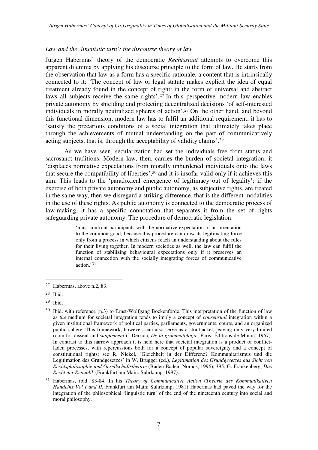## *Law and the 'linguistic turn': the discourse theory of law*

Jürgen Habermas' theory of the democratic *Rechtsstaat* attempts to overcome this apparent dilemma by applying his discourse principle to the form of law. He starts from the observation that law as a form has a specific rationale, a content that is intrinsically connected to it: 'The concept of law or legal statute makes explicit the idea of equal treatment already found in the concept of right: in the form of universal and abstract laws all subjects receive the same rights'.27 In this perspective modern law enables private autonomy by shielding and protecting decentralized decisions 'of self-interested individuals in morally neutralized spheres of action'.28 On the other hand, and beyond this functional dimension, modern law has to fulfil an additional requirement; it has to 'satisfy the precarious conditions of a social integration that ultimately takes place through the achievements of mutual understanding on the part of communicatively acting subjects, that is, through the acceptability of validity claims'.<sup>29</sup>

As we have seen, secularization had set the individuals free from status and sacrosanct traditions. Modern law, then, carries the burden of societal integration; it 'displaces normative expectations from morally unburdened individuals onto the laws that secure the compatibility of liberties',30 and it is insofar valid only if it achieves this aim. This leads to the 'paradoxical emergence of legitimacy out of legality': if the exercise of both private autonomy and public autonomy, as subjective rights, are treated in the same way, then we disregard a striking difference, that is the different modalities in the use of these rights. As public autonomy is connected to the democratic process of law-making, it has a specific connotation that separates it from the set of rights safeguarding private autonomy. The procedure of democratic legislation:

> 'must confront participants with the normative expectation of an orientation to the common good, because this procedure can draw its legitimating force only from a process in which citizens reach an understanding about the rules for their living together. In modern societies as well, the law can fulfil the function of stabilizing behavioural expectations only if it preserves an internal connection with the socially integrating forces of communicative action.'31

<sup>27</sup> Habermas, above n.2, 83.

<sup>28</sup> Ibid.

<sup>29</sup> Ibid.

<sup>30</sup> Ibid. with reference (n.3) to Ernst-Wolfgang Böckenförde. This interpretation of the function of law as *the* medium for societal integration tends to imply a concept of *consensual* integration within a given institutional framework of political parties, parliaments, governments, courts, and an organized public sphere. This framework, however, can also serve as a straitjacket, leaving only very limited room for dissent and *supplement* (J Derrida, *De la grammatologie*, Paris: Éditions de Minuit, 1967). In contrast to this narrow approach it is held here that societal integration is a product of conflictladen processes, with repercussions both for a concept of popular sovereignty and a concept of constitutional rights: see R. Nickel, 'Gleichheit in der Differenz? Kommunitarismus und die Legitimation des Grundgesetzes' in W. Brugger (ed.), *Legitimation des Grundgesetzes aus Sicht von Rechtsphilosophie und Gesellschaftstheorie* (Baden-Baden: Nomos, 1996), 395; G. Frankenberg, *Das Recht der Republik* (Frankfurt am Main: Suhrkamp, 1997).

<sup>31</sup> Habermas, ibid. 83-84. In his *Theory of Communicative Action* (*Theorie des Kommunikativen Handelns Vol I and II*, Frankfurt am Main: Suhrkamp, 1981) Habermas had paved the way for the integration of the philosophical 'linguistic turn' of the end of the nineteenth century into social and moral philosophy.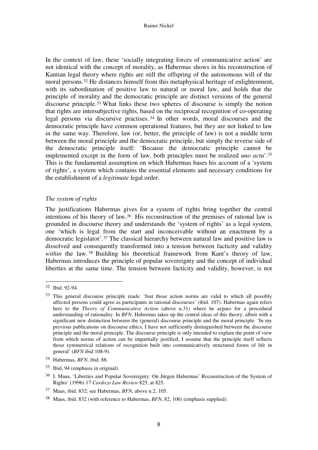#### Rainer Nickel

In the context of law, these 'socially integrating forces of communicative action' are not identical with the concept of morality, as Habermas shows in his reconstruction of Kantian legal theory where rights are still the offspring of the autonomous will of the moral persons.<sup>32</sup> He distances himself from this metaphysical heritage of enlightenment, with its subordination of positive law to natural or moral law, and holds that the principle of morality and the democratic principle are distinct versions of the general discourse principle.33 What links these two spheres of discourse is simply the notion that rights are intersubjective rights, based on the reciprocal recognition of co-operating legal persons via discursive practises. <sup>34</sup> In other words, moral discourses and the democratic principle have common operational features, but they are not linked to law in the same way. Therefore, law (or, better, the principle of law) is not a middle term between the moral principle and the democratic principle, but simply the reverse side of the democratic principle itself: 'Because the democratic principle cannot be implemented except in the form of law, both principles must be realized *uno actu*'.<sup>35</sup> This is the fundamental assumption on which Habermas bases his account of a 'system of rights', a system which contains the essential elements and necessary conditions for the establishment of a *legitimate* legal order.

## *The system of rights*

The justifications Habermas gives for a system of rights bring together the central intentions of his theory of law.36 His reconstruction of the premises of rational law is grounded in discourse theory and understands the 'system of rights' as a legal system, one 'which is legal from the start and inconceivable without an enactment by a democratic legislator'.37 The classical hierarchy between natural law and positive law is dissolved and consequently transformed into a tension between facticity and validity within the law. <sup>38</sup> Building his theoretical framework from Kant's theory of law, Habermas introduces the principle of popular sovereignty and the concept of individual liberties at the same time. The tension between facticity and validity, however, is not

<sup>32</sup> Ibid. 92-94.

<sup>&</sup>lt;sup>33</sup> This general discourse principle reads: 'Just those action norms are valid to which all possibly affected persons could agree as participants in rational discourses' (ibid. 107). Habermas again refers here to the *Theory of Communicative Action* (above n.31) where he argues for a procedural understanding of rationality. In *BFN*, Habermas takes up the central ideas of this theory, albeit with a significant new distinction between the (general) discourse principle and the moral principle: 'In my previous publications on discourse ethics, I have not sufficiently distinguished between the discourse principle and the moral principle. The discourse principle is only intended to explain the point of view from which norms of action can be impartially justified; I assume that the principle itself reflects those symmetrical relations of recognition built into communicatively structured forms of life in general' (*BFN* ibid 108-9).

<sup>34</sup> Habermas, *BFN*, ibid. 88.

<sup>35</sup> Ibid, 94 (emphasis in original).

<sup>36</sup> I. Maus, 'Liberties and Popular Sovereignty: On Jürgen Habermas' Reconstruction of the System of Rights' (1996) 17 *Cardozo Law Review* 825, at 825.

<sup>37</sup> Maus, ibid. 832; see Habermas, *BFN*, above n.2, 105.

<sup>38</sup> Maus, ibid. 832 (with reference to Habermas, *BFN*, 82, 106) (emphasis supplied).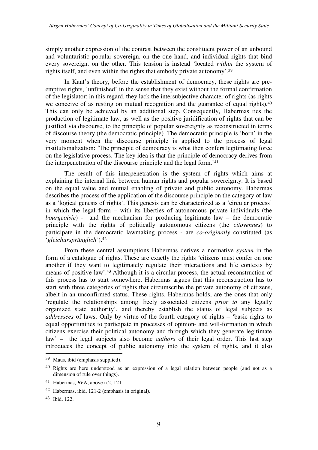simply another expression of the contrast between the constituent power of an unbound and voluntaristic popular sovereign, on the one hand, and individual rights that bind every sovereign, on the other. This tension is instead 'located *within* the system of rights itself, and even within the rights that embody private autonomy'.<sup>39</sup>

In Kant's theory, before the establishment of democracy, these rights are preemptive rights, 'unfinished' in the sense that they exist without the formal confirmation of the legislator; in this regard, they lack the intersubjective character of rights (as rights we conceive of as resting on mutual recognition and the guarantee of equal rights).<sup>40</sup> This can only be achieved by an additional step. Consequently, Habermas ties the production of legitimate law, as well as the positive juridification of rights that can be justified via discourse, to the principle of popular sovereignty as reconstructed in terms of discourse theory (the democratic principle). The democratic principle is 'born' in the very moment when the discourse principle is applied to the process of legal institutionalization: 'The principle of democracy is what then confers legitimating force on the legislative process. The key idea is that the principle of democracy derives from the interpenetration of the discourse principle and the legal form.'<sup>41</sup>

The result of this interpenetration is the system of rights which aims at explaining the internal link between human rights and popular sovereignty. It is based on the equal value and mutual enabling of private and public autonomy. Habermas describes the process of the application of the discourse principle on the category of law as a 'logical genesis of rights'. This genesis can be characterized as a 'circular process' in which the legal form – with its liberties of autonomous private individuals (the *bourgeoisie*) - and the mechanism for producing legitimate law – the democratic principle with the rights of politically autonomous citizens (the *citoyennes*) to participate in the democratic lawmaking process - are *co-originally* constituted (as '*gleichursprünglich'*).<sup>42</sup>

From these central assumptions Habermas derives a normative *system* in the form of a catalogue of rights. These are exactly the rights 'citizens must confer on one another if they want to legitimately regulate their interactions and life contexts by means of positive law'.43 Although it is a circular process, the actual reconstruction of this process has to start somewhere. Habermas argues that this reconstruction has to start with three categories of rights that circumscribe the private autonomy of citizens, albeit in an unconfirmed status. These rights, Habermas holds, are the ones that only 'regulate the relationships among freely associated citizens *prior to* any legally organized state authority', and thereby establish the status of legal subjects as *addressees* of laws. Only by virtue of the fourth category of rights – 'basic rights to equal opportunities to participate in processes of opinion- and will-formation in which citizens exercise their political autonomy and through which they generate legitimate law' – the legal subjects also become *authors* of their legal order. This last step introduces the concept of public autonomy into the system of rights, and it also

<sup>39</sup> Maus, ibid (emphasis supplied).

<sup>&</sup>lt;sup>40</sup> Rights are here understood as an expression of a legal relation between people (and not as a dimension of rule over things).

<sup>41</sup> Habermas, *BFN*, above n.2, 121.

<sup>42</sup> Habermas, ibid. 121-2 (emphasis in original).

<sup>43</sup> Ibid. 122.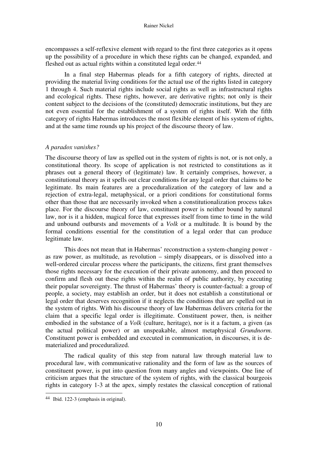encompasses a self-reflexive element with regard to the first three categories as it opens up the possibility of a procedure in which these rights can be changed, expanded, and fleshed out as actual rights within a constituted legal order.<sup>44</sup>

In a final step Habermas pleads for a fifth category of rights, directed at providing the material living conditions for the actual use of the rights listed in category 1 through 4. Such material rights include social rights as well as infrastructural rights and ecological rights. These rights, however, are derivative rights; not only is their content subject to the decisions of the (constituted) democratic institutions, but they are not even essential for the establishment of a system of rights itself. With the fifth category of rights Habermas introduces the most flexible element of his system of rights, and at the same time rounds up his project of the discourse theory of law.

## *A paradox vanishes?*

The discourse theory of law as spelled out in the system of rights is not, or is not only, a constitutional theory. Its scope of application is not restricted to constitutions as it phrases out a general theory of (legitimate) law. It certainly comprises, however, a constitutional theory as it spells out clear conditions for any legal order that claims to be legitimate. Its main features are a proceduralization of the category of law and a rejection of extra-legal, metaphysical, or a priori conditions for constitutional forms other than those that are necessarily invoked when a constitutionalization process takes place. For the discourse theory of law, constituent power is neither bound by natural law, nor is it a hidden, magical force that expresses itself from time to time in the wild and unbound outbursts and movements of a *Volk* or a multitude. It is bound by the formal conditions essential for the constitution of a legal order that can produce legitimate law.

This does not mean that in Habermas' reconstruction a system-changing power as raw power, as multitude, as revolution – simply disappears, or is dissolved into a well-ordered circular process where the participants, the citizens, first grant themselves those rights necessary for the execution of their private autonomy, and then proceed to confirm and flesh out these rights within the realm of public authority, by executing their popular sovereignty. The thrust of Habermas' theory is counter-factual: a group of people, a society, may establish an order, but it does not establish a constitutional or legal order that deserves recognition if it neglects the conditions that are spelled out in the system of rights. With his discourse theory of law Habermas delivers criteria for the claim that a specific legal order is illegitimate. Constituent power, then, is neither embodied in the substance of a *Volk* (culture, heritage), nor is it a factum, a given (as the actual political power) or an unspeakable, almost metaphysical *Grundnorm*. Constituent power is embedded and executed in communication, in discourses, it is dematerialized and proceduralized.

The radical quality of this step from natural law through material law to procedural law, with communicative rationality and the form of law as the sources of constituent power, is put into question from many angles and viewpoints. One line of criticism argues that the structure of the system of rights, with the classical bourgeois rights in category 1-3 at the apex, simply restates the classical conception of rational

<sup>44</sup> Ibid. 122-3 (emphasis in original).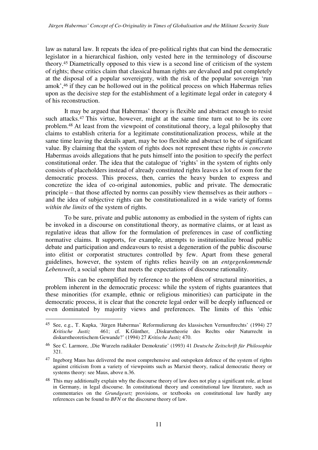law as natural law. It repeats the idea of pre-political rights that can bind the democratic legislator in a hierarchical fashion, only vested here in the terminology of discourse theory.45 Diametrically opposed to this view is a second line of criticism of the system of rights; these critics claim that classical human rights are devalued and put completely at the disposal of a popular sovereignty, with the risk of the popular sovereign 'run amok',46 if they can be hollowed out in the political process on which Habermas relies upon as the decisive step for the establishment of a legitimate legal order in category 4 of his reconstruction.

It may be argued that Habermas' theory is flexible and abstract enough to resist such attacks.<sup>47</sup> This virtue, however, might at the same time turn out to be its core problem.48 At least from the viewpoint of constitutional theory, a legal philosophy that claims to establish criteria for a legitimate constitutionalization process, while at the same time leaving the details apart, may be too flexible and abstract to be of significant value. By claiming that the system of rights does not represent these rights *in concreto* Habermas avoids allegations that he puts himself into the position to specify the perfect constitutional order. The idea that the catalogue of 'rights' in the system of rights only consists of placeholders instead of already constituted rights leaves a lot of room for the democratic process. This process, then, carries the heavy burden to express and concretize the idea of co-original autonomies, public and private. The democratic principle – that those affected by norms can possibly view themselves as their authors – and the idea of subjective rights can be constitutionalized in a wide variety of forms *within the limits* of the system of rights.

To be sure, private and public autonomy as embodied in the system of rights can be invoked in a discourse on constitutional theory, as normative claims, or at least as regulative ideas that allow for the formulation of preferences in case of conflicting normative claims. It supports, for example, attempts to institutionalize broad public debate and participation and endeavours to resist a degeneration of the public discourse into elitist or corporatist structures controlled by few. Apart from these general guidelines, however, the system of rights relies heavily on an *entgegenkommende Lebenswelt*, a social sphere that meets the expectations of discourse rationality.

This can be exemplified by reference to the problem of structural minorities, a problem inherent in the democratic process: while the system of rights guarantees that these minorities (for example, ethnic or religious minorities) can participate in the democratic process, it is clear that the concrete legal order will be deeply influenced or even dominated by majority views and preferences. The limits of this 'ethic

<sup>45</sup> See, e.g., T. Kupka, 'Jürgen Habermas' Reformulierung des klassischen Vernunftrechts' (1994) 27 *Kritische Justiz* 461; cf. K.Günther, 'Diskurstheorie des Rechts oder Naturrecht in diskurstheoretischem Gewande?' (1994) 27 *Kritische Justiz* 470.

<sup>46</sup> See C. Larmore, 'Die Wurzeln radikaler Demokratie' (1993) 41 *Deutsche Zeitschrift für Philosophie* 321.

<sup>&</sup>lt;sup>47</sup> Ingeborg Maus has delivered the most comprehensive and outspoken defence of the system of rights against criticism from a variety of viewpoints such as Marxist theory, radical democratic theory or systems theory: see Maus, above n.36.

<sup>&</sup>lt;sup>48</sup> This may additionally explain why the discourse theory of law does not play a significant role, at least in Germany, in legal discourse. In constitutional theory and constitutional law literature, such as commentaries on the *Grundgesetz* provisions, or textbooks on constitutional law hardly any references can be found to *BFN* or the discourse theory of law.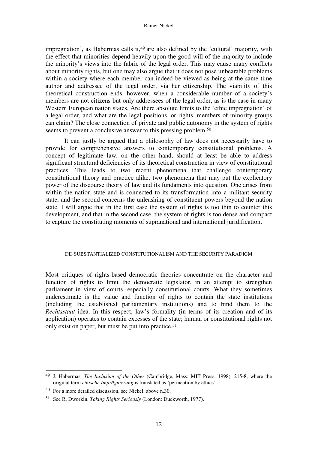#### Rainer Nickel

impregnation', as Habermas calls it,<sup>49</sup> are also defined by the 'cultural' majority. with the effect that minorities depend heavily upon the good-will of the majority to include the minority's views into the fabric of the legal order. This may cause many conflicts about minority rights, but one may also argue that it does not pose unbearable problems within a society where each member can indeed be viewed as being at the same time author and addressee of the legal order, via her citizenship. The viability of this theoretical construction ends, however, when a considerable number of a society's members are not citizens but only addressees of the legal order, as is the case in many Western European nation states. Are there absolute limits to the 'ethic impregnation' of a legal order, and what are the legal positions, or rights, members of minority groups can claim? The close connection of private and public autonomy in the system of rights seems to prevent a conclusive answer to this pressing problem.<sup>50</sup>

It can justly be argued that a philosophy of law does not necessarily have to provide for comprehensive answers to contemporary constitutional problems. A concept of legitimate law, on the other hand, should at least be able to address significant structural deficiencies of its theoretical construction in view of constitutional practices. This leads to two recent phenomena that challenge contemporary constitutional theory and practice alike, two phenomena that may put the explicatory power of the discourse theory of law and its fundaments into question. One arises from within the nation state and is connected to its transformation into a militant security state, and the second concerns the unleashing of constituent powers beyond the nation state. I will argue that in the first case the system of rights is too thin to counter this development, and that in the second case, the system of rights is too dense and compact to capture the constituting moments of supranational and international juridification.

#### DE-SUBSTANTIALIZED CONSTITUTIONALISM AND THE SECURITY PARADIGM

Most critiques of rights-based democratic theories concentrate on the character and function of rights to limit the democratic legislator, in an attempt to strengthen parliament in view of courts, especially constitutional courts. What they sometimes underestimate is the value and function of rights to contain the state institutions (including the established parliamentary institutions) and to bind them to the *Rechtsstaat* idea. In this respect, law's formality (in terms of its creation and of its application) operates to contain excesses of the state; human or constitutional rights not only exist on paper, but must be put into practice.<sup>51</sup>

<sup>49</sup> J. Habermas, *The Inclusion of the Other* (Cambridge, Mass: MIT Press, 1998), 215-8, where the original term *ethische Imprägnierung* is translated as 'permeation by ethics'.

<sup>50</sup> For a more detailed discussion, see Nickel, above n.30.

<sup>51</sup> See R. Dworkin, *Taking Rights Seriously* (London: Duckworth, 1977).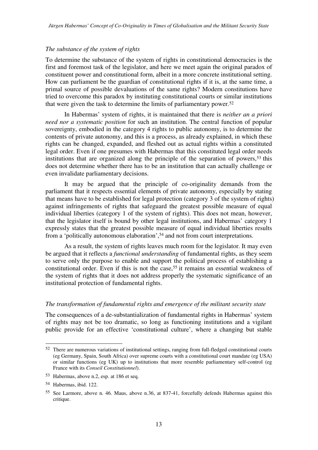## *The substance of the system of rights*

To determine the substance of the system of rights in constitutional democracies is the first and foremost task of the legislator, and here we meet again the original paradox of constituent power and constitutional form, albeit in a more concrete institutional setting. How can parliament be the guardian of constitutional rights if it is, at the same time, a primal source of possible devaluations of the same rights? Modern constitutions have tried to overcome this paradox by instituting constitutional courts or similar institutions that were given the task to determine the limits of parliamentary power.<sup>52</sup>

In Habermas' system of rights, it is maintained that there is *neither an a priori need nor a systematic position* for such an institution. The central function of popular sovereignty, embodied in the category 4 rights to public autonomy, is to determine the contents of private autonomy, and this is a process, as already explained, in which these rights can be changed, expanded, and fleshed out as actual rights within a constituted legal order. Even if one presumes with Habermas that this constituted legal order needs institutions that are organized along the principle of the separation of powers,<sup>53</sup> this does not determine whether there has to be an institution that can actually challenge or even invalidate parliamentary decisions.

It may be argued that the principle of co-originality demands from the parliament that it respects essential elements of private autonomy, especially by stating that means have to be established for legal protection (category 3 of the system of rights) against infringements of rights that safeguard the greatest possible measure of equal individual liberties (category 1 of the system of rights). This does not mean, however, that the legislator itself is bound by other legal institutions, and Habermas' category 1 expressly states that the greatest possible measure of equal individual liberties results from a 'politically autonomous elaboration',54 and not from court interpretations.

As a result, the system of rights leaves much room for the legislator. It may even be argued that it reflects a *functional understanding* of fundamental rights, as they seem to serve only the purpose to enable and support the political process of establishing a constitutional order. Even if this is not the case,<sup>55</sup> it remains an essential weakness of the system of rights that it does not address properly the systematic significance of an institutional protection of fundamental rights.

### *The transformation of fundamental rights and emergence of the militant security state*

The consequences of a de-substantialization of fundamental rights in Habermas' system of rights may not be too dramatic, so long as functioning institutions and a vigilant public provide for an effective 'constitutional culture', where a changing but stable

<sup>52</sup> There are numerous variations of institutional settings, ranging from full-fledged constitutional courts (eg Germany, Spain, South Africa) over supreme courts with a constitutional court mandate (eg USA) or similar functions (eg UK) up to institutions that more resemble parliamentary self-control (eg France with its *Conseil Constitutionnel*).

<sup>53</sup> Habermas, above n.2, esp. at 186 et seq.

<sup>54</sup> Habermas, ibid. 122.

<sup>55</sup> See Larmore, above n. 46. Maus, above n.36, at 837-41, forcefully defends Habermas against this critique.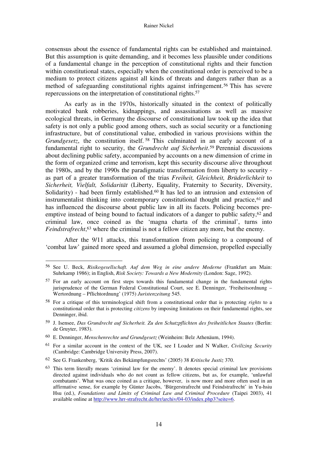consensus about the essence of fundamental rights can be established and maintained. But this assumption is quite demanding, and it becomes less plausible under conditions of a fundamental change in the perception of constitutional rights and their function within constitutional states, especially when the constitutional order is perceived to be a medium to protect citizens against all kinds of threats and dangers rather than as a method of safeguarding constitutional rights against infringement.56 This has severe repercussions on the interpretation of constitutional rights.<sup>57</sup>

As early as in the 1970s, historically situated in the context of politically motivated bank robberies, kidnappings, and assassinations as well as massive ecological threats, in Germany the discourse of constitutional law took up the idea that safety is not only a public good among others, such as social security or a functioning infrastructure, but of constitutional value, embodied in various provisions within the *Grundgesetz*, the constitution itself. <sup>58</sup> This culminated in an early account of a fundamental right to security, the *Grundrecht auf Sicherheit*. <sup>59</sup> Perennial discussions about declining public safety, accompanied by accounts on a new dimension of crime in the form of organized crime and terrorism, kept this security discourse alive throughout the 1980s, and by the 1990s the paradigmatic transformation from liberty to security as part of a greater transformation of the trias *Freiheit, Gleichheit, Brüderlichkeit* to *Sicherheit, Vielfalt, Solidarität* (Liberty, Equality, Fraternity to Security, Diversity, Solidarity) - had been firmly established.<sup>60</sup> It has led to an intrusion and extension of instrumentalist thinking into contemporary constitutional thought and practice, <sup>61</sup> and has influenced the discourse about public law in all its facets. Policing becomes preemptive instead of being bound to factual indicators of a danger to public safety,<sup>62</sup> and criminal law, once coined as the 'magna charta of the criminal', turns into *Feindstrafrecht*, <sup>63</sup> where the criminal is not a fellow citizen any more, but the enemy.

After the 9/11 attacks, this transformation from policing to a compound of 'combat law' gained more speed and assumed a global dimension, propelled especially

<sup>56</sup> See U. Beck, *Risikogesellschaft. Auf dem Weg in eine andere Moderne* (Frankfurt am Main: Suhrkamp 1986); in English, *Risk Society: Towards a New Modernity* (London: Sage, 1992).

<sup>&</sup>lt;sup>57</sup> For an early account on first steps towards this fundamental change in the fundamental rights jurisprudence of the German Federal Constitutional Court, see E. Denninger, 'Freiheitsordnung – Wertordnung – Pflichtordnung' (1975) *Juristenzeitung* 545.

<sup>58</sup> For a critique of this terminological shift from a constitutional order that is protecting *rights* to a constitutional order that is protecting *citizens* by imposing limitations on their fundamental rights, see Denninger, ibid.

<sup>59</sup> J. Isensee, *Das Grundrecht auf Sicherheit. Zu den Schutzpflichten des freiheitlichen Staates* (Berlin: de Gruyter, 1983).

<sup>60</sup> E. Denninger, *Menschenrechte und Grundgesetz* (Weinheim: Belz Athenäum, 1994).

<sup>61</sup> For a similar account in the context of the UK, see I Loader and N Walker, *Civilizing Security* (Cambridge: Cambridge University Press, 2007).

<sup>62</sup> See G. Frankenberg, 'Kritik des Bekämpfungsrechts' (2005) 38 *Kritische Justiz* 370.

<sup>63</sup> This term literally means 'criminal law for the enemy'. It denotes special criminal law provisions directed against individuals who do not count as fellow citizens, but as, for example, 'unlawful combatants'. What was once coined as a critique, however, is now more and more often used in an affirmative sense, for example by Günter Jacobs, 'Bürgerstrafrecht und Feindstrafrecht' in Yu-hsiu Hsu (ed.), *Foundations and Limits of Criminal Law and Criminal Procedure* (Taipei 2003), 41 available online at http://www.hrr-strafrecht.de/hrr/archiv/04-03/index.php3?seite=6.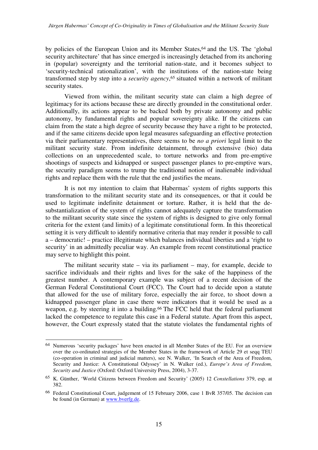by policies of the European Union and its Member States,<sup>64</sup> and the US. The 'global security architecture' that has since emerged is increasingly detached from its anchoring in (popular) sovereignty and the territorial nation-state, and it becomes subject to 'security-technical rationalization', with the institutions of the nation-state being transformed step by step into a *security agency*, <sup>65</sup> situated within a network of militant security states.

Viewed from within, the militant security state can claim a high degree of legitimacy for its actions because these are directly grounded in the constitutional order. Additionally, its actions appear to be backed both by private autonomy and public autonomy, by fundamental rights and popular sovereignty alike. If the citizens can claim from the state a high degree of security because they have a right to be protected, and if the same citizens decide upon legal measures safeguarding an effective protection via their parliamentary representatives, there seems to be *no a priori* legal limit to the militant security state. From indefinite detainment, through extensive (bio) data collections on an unprecedented scale, to torture networks and from pre-emptive shootings of suspects and kidnapped or suspect passenger planes to pre-emptive wars, the security paradigm seems to trump the traditional notion of inalienable individual rights and replace them with the rule that the end justifies the means.

It is not my intention to claim that Habermas' system of rights supports this transformation to the militant security state and its consequences, or that it could be used to legitimate indefinite detainment or torture. Rather, it is held that the desubstantialization of the system of rights cannot adequately capture the transformation to the militant security state since the system of rights is designed to give only formal criteria for the extent (and limits) of a legitimate constitutional form. In this theoretical setting it is very difficult to identify normative criteria that may render it possible to call a – democratic! – practice illegitimate which balances individual liberties and a 'right to security' in an admittedly peculiar way. An example from recent constitutional practice may serve to highlight this point.

The militant security state  $-$  via its parliament  $-$  may, for example, decide to sacrifice individuals and their rights and lives for the sake of the happiness of the greatest number. A contemporary example was subject of a recent decision of the German Federal Constitutional Court (FCC). The Court had to decide upon a statute that allowed for the use of military force, especially the air force, to shoot down a kidnapped passenger plane in case there were indicators that it would be used as a weapon, e.g. by steering it into a building.<sup>66</sup> The FCC held that the federal parliament lacked the competence to regulate this case in a Federal statute. Apart from this aspect, however, the Court expressly stated that the statute violates the fundamental rights of

<sup>64</sup> Numerous 'security packages' have been enacted in all Member States of the EU. For an overview over the co-ordinated strategies of the Member States in the framework of Article 29 et seqq TEU (co-operation in criminal and judicial matters), see N. Walker, 'In Search of the Area of Freedom, Security and Justice: A Constitutional Odyssey' in N. Walker (ed.), *Europe's Area of Freedom, Security and Justice* (Oxford: Oxford University Press, 2004), 3-37.

<sup>65</sup> K. Günther, 'World Citizens between Freedom and Security' (2005) 12 *Constellations* 379, esp. at 382.

<sup>66</sup> Federal Constitutional Court, judgement of 15 February 2006, case 1 BvR 357/05. The decision can be found (in German) at www.bverfg.de.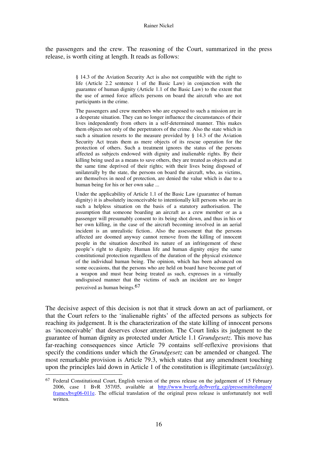the passengers and the crew. The reasoning of the Court, summarized in the press release, is worth citing at length. It reads as follows:

> § 14.3 of the Aviation Security Act is also not compatible with the right to life (Article 2.2 sentence 1 of the Basic Law) in conjunction with the guarantee of human dignity (Article 1.1 of the Basic Law) to the extent that the use of armed force affects persons on board the aircraft who are not participants in the crime.

> The passengers and crew members who are exposed to such a mission are in a desperate situation. They can no longer influence the circumstances of their lives independently from others in a self-determined manner. This makes them objects not only of the perpetrators of the crime. Also the state which in such a situation resorts to the measure provided by § 14.3 of the Aviation Security Act treats them as mere objects of its rescue operation for the protection of others. Such a treatment ignores the status of the persons affected as subjects endowed with dignity and inalienable rights. By their killing being used as a means to save others, they are treated as objects and at the same time deprived of their rights; with their lives being disposed of unilaterally by the state, the persons on board the aircraft, who, as victims, are themselves in need of protection, are denied the value which is due to a human being for his or her own sake ...

> Under the applicability of Article 1.1 of the Basic Law (guarantee of human dignity) it is absolutely inconceivable to intentionally kill persons who are in such a helpless situation on the basis of a statutory authorisation. The assumption that someone boarding an aircraft as a crew member or as a passenger will presumably consent to its being shot down, and thus in his or her own killing, in the case of the aircraft becoming involved in an aerial incident is an unrealistic fiction.. Also the assessment that the persons affected are doomed anyway cannot remove from the killing of innocent people in the situation described its nature of an infringement of these people's right to dignity. Human life and human dignity enjoy the same constitutional protection regardless of the duration of the physical existence of the individual human being. The opinion, which has been advanced on some occasions, that the persons who are held on board have become part of a weapon and must bear being treated as such, expresses in a virtually undisguised manner that the victims of such an incident are no longer perceived as human beings.67

The decisive aspect of this decision is not that it struck down an act of parliament, or that the Court refers to the 'inalienable rights' of the affected persons as subjects for reaching its judgement. It is the characterization of the state killing of innocent persons as 'inconceivable' that deserves closer attention. The Court links its judgment to the guarantee of human dignity as protected under Article 1.1 *Grundgesetz*. This move has far-reaching consequences since Article 79 contains self-reflexive provisions that specify the conditions under which the *Grundgesetz* can be amended or changed. The most remarkable provision is Article 79.3, which states that any amendment touching upon the principles laid down in Article 1 of the constitution is illegitimate (*unzulässig*).

<sup>67</sup> Federal Constitutional Court, English version of the press release on the judgement of 15 February 2006, case 1 BvR 357/05, available at http://www.bverfg.de/bverfg\_cgi/pressemitteilungen/ frames/bvg06-011e. The official translation of the original press release is unfortunately not well written.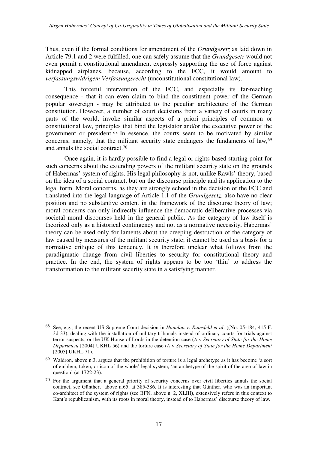Thus, even if the formal conditions for amendment of the *Grundgesetz* as laid down in Article 79.1 and 2 were fulfilled, one can safely assume that the *Grundgesetz* would not even permit a constitutional amendment expressly supporting the use of force against kidnapped airplanes, because, according to the FCC, it would amount to *verfassungswidrigem Verfassungsrecht* (unconstitutional constitutional law).

This forceful intervention of the FCC, and especially its far-reaching consequence - that it can even claim to bind the constituent power of the German popular sovereign - may be attributed to the peculiar architecture of the German constitution. However, a number of court decisions from a variety of courts in many parts of the world, invoke similar aspects of a priori principles of common or constitutional law, principles that bind the legislator and/or the executive power of the government or president.68 In essence, the courts seem to be motivated by similar concerns, namely, that the militant security state endangers the fundaments of law,<sup>69</sup> and annuls the social contract.<sup>70</sup>

Once again, it is hardly possible to find a legal or rights-based starting point for such concerns about the extending powers of the militant security state on the grounds of Habermas' system of rights. His legal philosophy is not, unlike Rawls' theory, based on the idea of a social contract, but on the discourse principle and its application to the legal form. Moral concerns, as they are strongly echoed in the decision of the FCC and translated into the legal language of Article 1.1 of the *Grundgesetz*, also have no clear position and no substantive content in the framework of the discourse theory of law; moral concerns can only indirectly influence the democratic deliberative processes via societal moral discourses held in the general public. As the category of law itself is theorized only as a historical contingency and not as a normative necessity, Habermas' theory can be used only for laments about the creeping destruction of the category of law caused by measures of the militant security state; it cannot be used as a basis for a normative critique of this tendency. It is therefore unclear what follows from the paradigmatic change from civil liberties to security for constitutional theory and practice. In the end, the system of rights appears to be too 'thin' to address the transformation to the militant security state in a satisfying manner.

<sup>68</sup> See, e.g., the recent US Supreme Court decision in *Hamdan* v. *Rumsfeld et al*. ((No. 05-184; 415 F. 3d 33), dealing with the installation of military tribunals instead of ordinary courts for trials against terror suspects, or the UK House of Lords in the detention case (*A* v *Secretary of State for the Home Department* [2004] UKHL 56) and the torture case (*A* v *Secretary of State for the Home Department* [2005] UKHL 71).

<sup>69</sup> Waldron, above n.3, argues that the prohibition of torture is a legal archetype as it has become 'a sort of emblem, token, or icon of the whole' legal system, 'an archetype of the spirit of the area of law in question' (at 1722-23).

<sup>70</sup> For the argument that a general priority of security concerns over civil liberties annuls the social contract, see Günther, above n.65, at 385-386. It is interesting that Günther, who was an important co-architect of the system of rights (see BFN, above n. 2, XLIII), extensively refers in this context to Kant's republicanism, with its roots in moral theory, instead of to Habermas' discourse theory of law.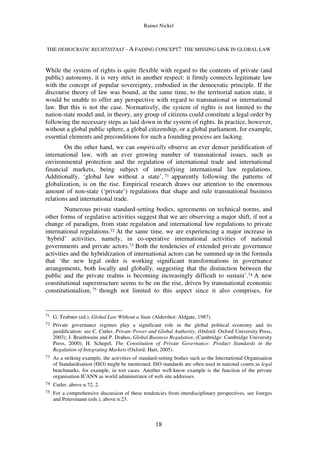#### Rainer Nickel

### THE *DEMOCRATIC RECHTSSTAAT* - A FADING CONCEPT? THE MISSING LINK IN GLOBAL LAW

While the system of rights is quite flexible with regard to the contents of private (and public) autonomy, it is very strict in another respect: it firmly connects legitimate law with the concept of popular sovereignty, embodied in the democratic principle. If the discourse theory of law was bound, at the same time, to the territorial nation state, it would be unable to offer any perspective with regard to transnational or international law. But this is not the case. Normatively, the system of rights is not limited to the nation-state model and, in theory, any group of citizens could constitute a legal order by following the necessary steps as laid down in the system of rights. In practice, however, without a global public sphere, a global citizenship, or a global parliament, for example, essential elements and preconditions for such a founding process are lacking.

On the other hand, we can *empirically* observe an ever denser juridification of international law, with an ever growing number of transnational issues, such as environmental protection and the regulation of international trade and international financial markets, being subject of intensifying international law regulations. Additionally, 'global law without a state', <sup>71</sup> apparently following the patterns of globalization, is on the rise. Empirical research draws our attention to the enormous amount of non-state ('private') regulations that shape and rule transnational business relations and international trade.

Numerous private standard-setting bodies, agreements on technical norms, and other forms of regulative activities suggest that we are observing a major shift, if not a change of paradigm, from state regulation and international law regulations to private international regulations.72 At the same time, we are experiencing a major increase in 'hybrid' activities, namely, in co-operative international activities of national governments and private actors.73 Both the tendencies of extended private governance activities and the hybridization of international actors can be summed up in the formula that 'the new legal order is working significant transformations in governance arrangements, both locally and globally, suggesting that the distinction between the public and the private realms is becoming increasingly difficult to sustain'.74 A new constitutional superstructure seems to be on the rise, driven by transnational economic constitutionalism, <sup>75</sup> though not limited to this aspect since it also comprises, for

<sup>71</sup> G. Teubner (ed.), *Global Law Without a State* (Aldershot: Aldgate, 1987).

 $72$  Private governance regimes play a significant role in the global political economy and its juridification: see C. Cutler, *Private Power and Global Authority*, (Oxford: Oxford University Press, 2003); J. Braithwaite and P. Drahos, *Global Business Regulation*, (Cambridge: Cambridge University Press, 2000); H. Schepel, *The Constitution of Private Governance: Product Standards in the Regulation of Integrating Markets* (Oxford: Hart, 2005).

<sup>73</sup> As a striking example, the activities of standard-setting bodies such as the International Organisation of Standardisation (ISO) might be mentioned. ISO standards are often used in national courts as *legal* benchmarks, for example, in tort cases. Another well-know example is the function of the private organisation ICANN as world administrator of web site addresses.

<sup>74</sup> Cutler, above n.72, 2.

<sup>75</sup> For a comprehensive discussion of these tendencies from interdisciplinary perspectives, see Joerges and Petersmann (eds.), above n.23.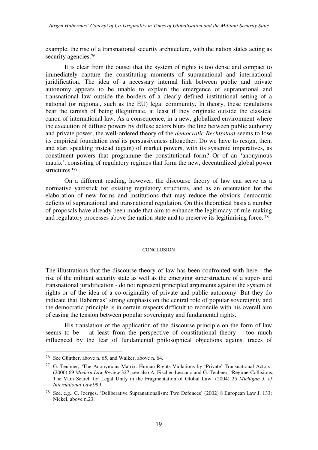example, the rise of a transnational security architecture, with the nation states acting as security agencies.<sup>76</sup>

It is clear from the outset that the system of rights is too dense and compact to immediately capture the constituting moments of supranational and international juridification. The idea of a necessary internal link between public and private autonomy appears to be unable to explain the emergence of supranational and transnational law outside the borders of a clearly defined institutional setting of a national (or regional, such as the EU) legal community. In theory, these regulations bear the tarnish of being illegitimate, at least if they originate outside the classical canon of international law. As a consequence, in a new, globalized environment where the execution of diffuse powers by diffuse actors blurs the line between public authority and private power, the well-ordered theory of the *democratic Rechtsstaat* seems to lose its empirical foundation *and* its persuasiveness altogether. Do we have to resign, then, and start speaking instead (again) of market powers, with its systemic imperatives, as constituent powers that programme the constitutional form? Or of an 'anonymous matrix', consisting of regulatory regimes that form the new, decentralized global power structures?<sup>77</sup>

On a different reading, however, the discourse theory of law can serve as a normative yardstick for existing regulatory structures, and as an orientation for the elaboration of new forms and institutions that may reduce the obvious democratic deficits of supranational and transnational regulation. On this theoretical basis a number of proposals have already been made that aim to enhance the legitimacy of rule-making and regulatory processes above the nation state and to preserve its legitimising force.<sup>78</sup>

#### **CONCLUSION**

The illustrations that the discourse theory of law has been confronted with here - the rise of the militant security state as well as the emerging superstructure of a super- and transnational juridification - do not represent principled arguments against the system of rights or of the idea of a co-originality of private and public autonomy. But they do indicate that Habermas' strong emphasis on the central role of popular sovereignty and the democratic principle is in certain respects difficult to reconcile with his overall aim of easing the tension between popular sovereignty and fundamental rights.

His translation of the application of the discourse principle on the form of law seems to be – at least from the perspective of constitutional theory – too much influenced by the fear of fundamental philosophical objections against traces of

<sup>76</sup> See Günther, above n. 65, and Walker, above n. 64.

<sup>77</sup> G. Teubner, 'The Anonymous Matrix: Human Rights Violations by 'Private' Transnational Actors' (2006) 69 *Modern Law Review* 327; see also A. Fischer-Lescano and G. Teubner, 'Regime-Collisions: The Vain Search for Legal Unity in the Fragmentation of Global Law' (2004) 25 *Michigan J. of International Law* 999.

<sup>78</sup> See, e.g., C. Joerges, 'Deliberative Supranationalism: Two Defences' (2002) 8 European Law J. 133; Nickel, above n.23.